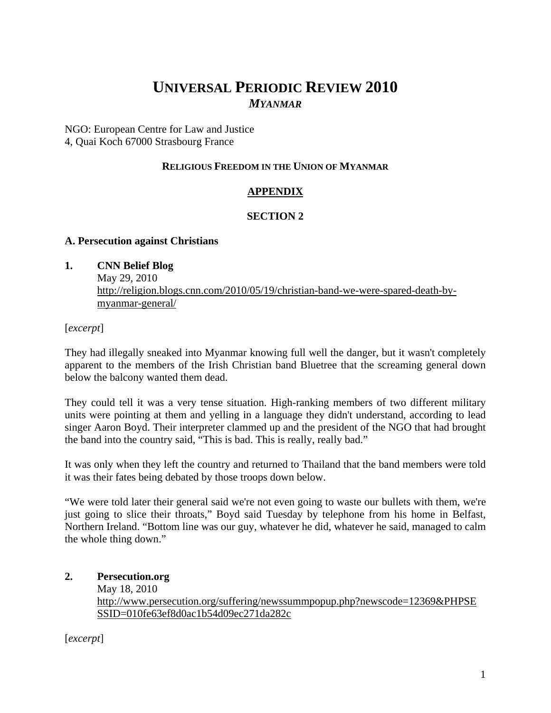# **UNIVERSAL PERIODIC REVIEW 2010** *MYANMAR*

NGO: European Centre for Law and Justice 4, Quai Koch 67000 Strasbourg France

## **RELIGIOUS FREEDOM IN THE UNION OF MYANMAR**

# **APPENDIX**

# **SECTION 2**

## **A. Persecution against Christians**

**1. CNN Belief Blog** 

May 29, 2010 http://religion.blogs.cnn.com/2010/05/19/christian-band-we-were-spared-death-bymyanmar-general/

[*excerpt*]

They had illegally sneaked into Myanmar knowing full well the danger, but it wasn't completely apparent to the members of the Irish Christian band Bluetree that the screaming general down below the balcony wanted them dead.

They could tell it was a very tense situation. High-ranking members of two different military units were pointing at them and yelling in a language they didn't understand, according to lead singer Aaron Boyd. Their interpreter clammed up and the president of the NGO that had brought the band into the country said, "This is bad. This is really, really bad."

It was only when they left the country and returned to Thailand that the band members were told it was their fates being debated by those troops down below.

"We were told later their general said we're not even going to waste our bullets with them, we're just going to slice their throats," Boyd said Tuesday by telephone from his home in Belfast, Northern Ireland. "Bottom line was our guy, whatever he did, whatever he said, managed to calm the whole thing down."

# **2. Persecution.org**

May 18, 2010 http://www.persecution.org/suffering/newssummpopup.php?newscode=12369&PHPSE SSID=010fe63ef8d0ac1b54d09ec271da282c

[*excerpt*]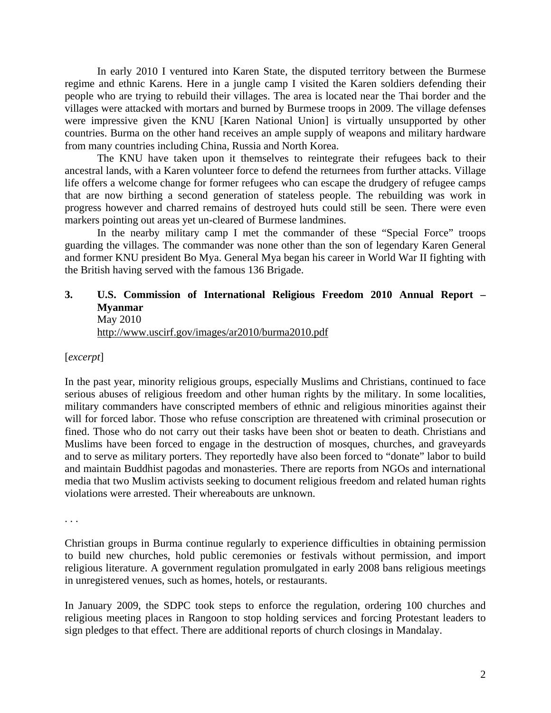In early 2010 I ventured into Karen State, the disputed territory between the Burmese regime and ethnic Karens. Here in a jungle camp I visited the Karen soldiers defending their people who are trying to rebuild their villages. The area is located near the Thai border and the villages were attacked with mortars and burned by Burmese troops in 2009. The village defenses were impressive given the KNU [Karen National Union] is virtually unsupported by other countries. Burma on the other hand receives an ample supply of weapons and military hardware from many countries including China, Russia and North Korea.

The KNU have taken upon it themselves to reintegrate their refugees back to their ancestral lands, with a Karen volunteer force to defend the returnees from further attacks. Village life offers a welcome change for former refugees who can escape the drudgery of refugee camps that are now birthing a second generation of stateless people. The rebuilding was work in progress however and charred remains of destroyed huts could still be seen. There were even markers pointing out areas yet un-cleared of Burmese landmines.

In the nearby military camp I met the commander of these "Special Force" troops guarding the villages. The commander was none other than the son of legendary Karen General and former KNU president Bo Mya. General Mya began his career in World War II fighting with the British having served with the famous 136 Brigade.

## **3. U.S. Commission of International Religious Freedom 2010 Annual Report – Myanmar**  May 2010

http://www.uscirf.gov/images/ar2010/burma2010.pdf

[*excerpt*]

In the past year, minority religious groups, especially Muslims and Christians, continued to face serious abuses of religious freedom and other human rights by the military. In some localities, military commanders have conscripted members of ethnic and religious minorities against their will for forced labor. Those who refuse conscription are threatened with criminal prosecution or fined. Those who do not carry out their tasks have been shot or beaten to death. Christians and Muslims have been forced to engage in the destruction of mosques, churches, and graveyards and to serve as military porters. They reportedly have also been forced to "donate" labor to build and maintain Buddhist pagodas and monasteries. There are reports from NGOs and international media that two Muslim activists seeking to document religious freedom and related human rights violations were arrested. Their whereabouts are unknown.

. . .

Christian groups in Burma continue regularly to experience difficulties in obtaining permission to build new churches, hold public ceremonies or festivals without permission, and import religious literature. A government regulation promulgated in early 2008 bans religious meetings in unregistered venues, such as homes, hotels, or restaurants.

In January 2009, the SDPC took steps to enforce the regulation, ordering 100 churches and religious meeting places in Rangoon to stop holding services and forcing Protestant leaders to sign pledges to that effect. There are additional reports of church closings in Mandalay.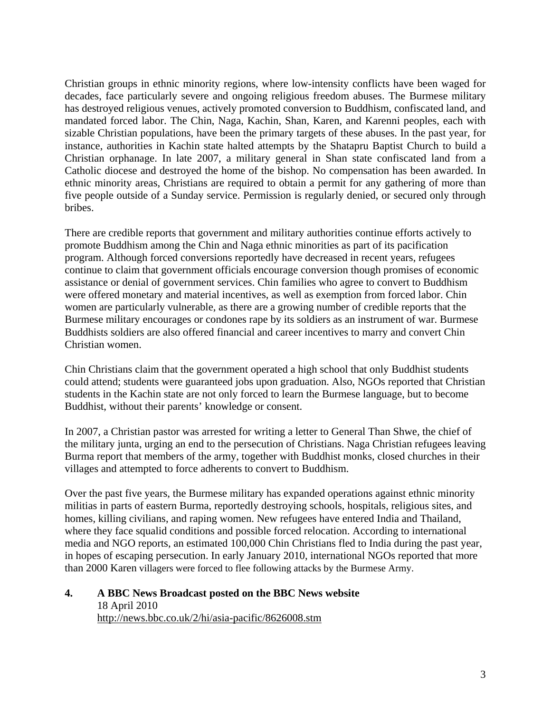Christian groups in ethnic minority regions, where low-intensity conflicts have been waged for decades, face particularly severe and ongoing religious freedom abuses. The Burmese military has destroyed religious venues, actively promoted conversion to Buddhism, confiscated land, and mandated forced labor. The Chin, Naga, Kachin, Shan, Karen, and Karenni peoples, each with sizable Christian populations, have been the primary targets of these abuses. In the past year, for instance, authorities in Kachin state halted attempts by the Shatapru Baptist Church to build a Christian orphanage. In late 2007, a military general in Shan state confiscated land from a Catholic diocese and destroyed the home of the bishop. No compensation has been awarded. In ethnic minority areas, Christians are required to obtain a permit for any gathering of more than five people outside of a Sunday service. Permission is regularly denied, or secured only through bribes.

There are credible reports that government and military authorities continue efforts actively to promote Buddhism among the Chin and Naga ethnic minorities as part of its pacification program. Although forced conversions reportedly have decreased in recent years, refugees continue to claim that government officials encourage conversion though promises of economic assistance or denial of government services. Chin families who agree to convert to Buddhism were offered monetary and material incentives, as well as exemption from forced labor. Chin women are particularly vulnerable, as there are a growing number of credible reports that the Burmese military encourages or condones rape by its soldiers as an instrument of war. Burmese Buddhists soldiers are also offered financial and career incentives to marry and convert Chin Christian women.

Chin Christians claim that the government operated a high school that only Buddhist students could attend; students were guaranteed jobs upon graduation. Also, NGOs reported that Christian students in the Kachin state are not only forced to learn the Burmese language, but to become Buddhist, without their parents' knowledge or consent.

In 2007, a Christian pastor was arrested for writing a letter to General Than Shwe, the chief of the military junta, urging an end to the persecution of Christians. Naga Christian refugees leaving Burma report that members of the army, together with Buddhist monks, closed churches in their villages and attempted to force adherents to convert to Buddhism.

Over the past five years, the Burmese military has expanded operations against ethnic minority militias in parts of eastern Burma, reportedly destroying schools, hospitals, religious sites, and homes, killing civilians, and raping women. New refugees have entered India and Thailand, where they face squalid conditions and possible forced relocation. According to international media and NGO reports, an estimated 100,000 Chin Christians fled to India during the past year, in hopes of escaping persecution. In early January 2010, international NGOs reported that more than 2000 Karen villagers were forced to flee following attacks by the Burmese Army.

#### **4. A BBC News Broadcast posted on the BBC News website**  18 April 2010 http://news.bbc.co.uk/2/hi/asia-pacific/8626008.stm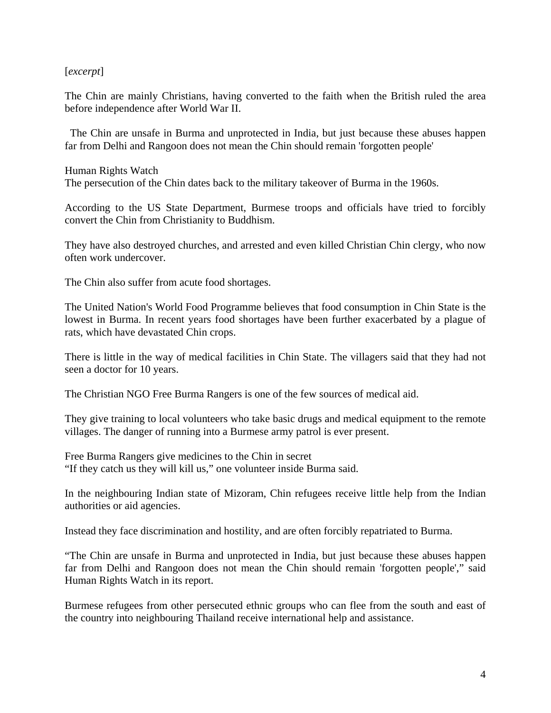#### [*excerpt*]

The Chin are mainly Christians, having converted to the faith when the British ruled the area before independence after World War II.

 The Chin are unsafe in Burma and unprotected in India, but just because these abuses happen far from Delhi and Rangoon does not mean the Chin should remain 'forgotten people'

Human Rights Watch The persecution of the Chin dates back to the military takeover of Burma in the 1960s.

According to the US State Department, Burmese troops and officials have tried to forcibly convert the Chin from Christianity to Buddhism.

They have also destroyed churches, and arrested and even killed Christian Chin clergy, who now often work undercover.

The Chin also suffer from acute food shortages.

The United Nation's World Food Programme believes that food consumption in Chin State is the lowest in Burma. In recent years food shortages have been further exacerbated by a plague of rats, which have devastated Chin crops.

There is little in the way of medical facilities in Chin State. The villagers said that they had not seen a doctor for 10 years.

The Christian NGO Free Burma Rangers is one of the few sources of medical aid.

They give training to local volunteers who take basic drugs and medical equipment to the remote villages. The danger of running into a Burmese army patrol is ever present.

Free Burma Rangers give medicines to the Chin in secret "If they catch us they will kill us," one volunteer inside Burma said.

In the neighbouring Indian state of Mizoram, Chin refugees receive little help from the Indian authorities or aid agencies.

Instead they face discrimination and hostility, and are often forcibly repatriated to Burma.

"The Chin are unsafe in Burma and unprotected in India, but just because these abuses happen far from Delhi and Rangoon does not mean the Chin should remain 'forgotten people'," said Human Rights Watch in its report.

Burmese refugees from other persecuted ethnic groups who can flee from the south and east of the country into neighbouring Thailand receive international help and assistance.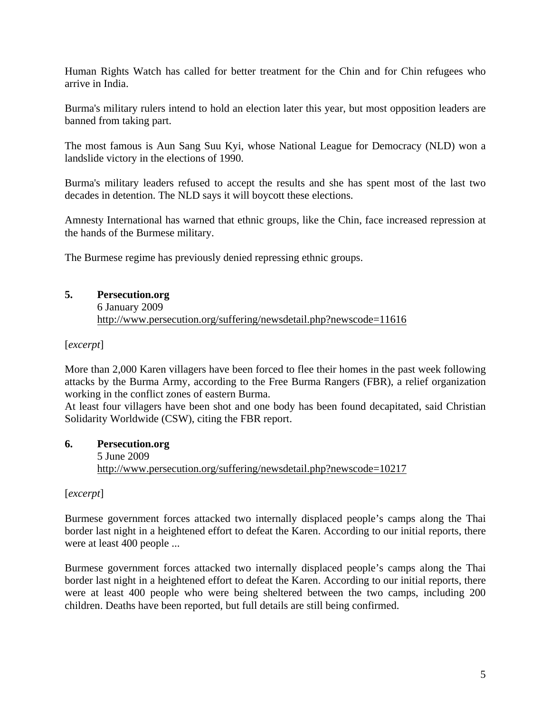Human Rights Watch has called for better treatment for the Chin and for Chin refugees who arrive in India.

Burma's military rulers intend to hold an election later this year, but most opposition leaders are banned from taking part.

The most famous is Aun Sang Suu Kyi, whose National League for Democracy (NLD) won a landslide victory in the elections of 1990.

Burma's military leaders refused to accept the results and she has spent most of the last two decades in detention. The NLD says it will boycott these elections.

Amnesty International has warned that ethnic groups, like the Chin, face increased repression at the hands of the Burmese military.

The Burmese regime has previously denied repressing ethnic groups.

## **5. Persecution.org**

6 January 2009 http://www.persecution.org/suffering/newsdetail.php?newscode=11616

[*excerpt*]

More than 2,000 Karen villagers have been forced to flee their homes in the past week following attacks by the Burma Army, according to the Free Burma Rangers (FBR), a relief organization working in the conflict zones of eastern Burma.

At least four villagers have been shot and one body has been found decapitated, said Christian Solidarity Worldwide (CSW), citing the FBR report.

#### **6. Persecution.org**  5 June 2009 http://www.persecution.org/suffering/newsdetail.php?newscode=10217

[*excerpt*]

Burmese government forces attacked two internally displaced people's camps along the Thai border last night in a heightened effort to defeat the Karen. According to our initial reports, there were at least 400 people ...

Burmese government forces attacked two internally displaced people's camps along the Thai border last night in a heightened effort to defeat the Karen. According to our initial reports, there were at least 400 people who were being sheltered between the two camps, including 200 children. Deaths have been reported, but full details are still being confirmed.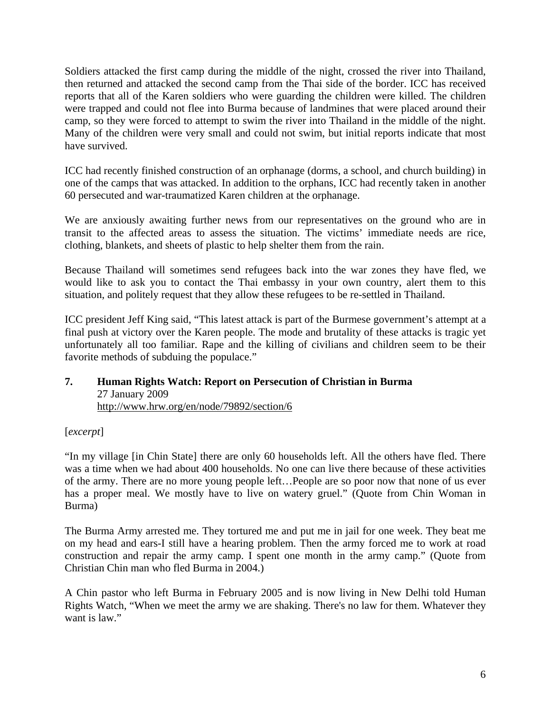Soldiers attacked the first camp during the middle of the night, crossed the river into Thailand, then returned and attacked the second camp from the Thai side of the border. ICC has received reports that all of the Karen soldiers who were guarding the children were killed. The children were trapped and could not flee into Burma because of landmines that were placed around their camp, so they were forced to attempt to swim the river into Thailand in the middle of the night. Many of the children were very small and could not swim, but initial reports indicate that most have survived.

ICC had recently finished construction of an orphanage (dorms, a school, and church building) in one of the camps that was attacked. In addition to the orphans, ICC had recently taken in another 60 persecuted and war-traumatized Karen children at the orphanage.

We are anxiously awaiting further news from our representatives on the ground who are in transit to the affected areas to assess the situation. The victims' immediate needs are rice, clothing, blankets, and sheets of plastic to help shelter them from the rain.

Because Thailand will sometimes send refugees back into the war zones they have fled, we would like to ask you to contact the Thai embassy in your own country, alert them to this situation, and politely request that they allow these refugees to be re-settled in Thailand.

ICC president Jeff King said, "This latest attack is part of the Burmese government's attempt at a final push at victory over the Karen people. The mode and brutality of these attacks is tragic yet unfortunately all too familiar. Rape and the killing of civilians and children seem to be their favorite methods of subduing the populace."

#### **7. Human Rights Watch: Report on Persecution of Christian in Burma**  27 January 2009 http://www.hrw.org/en/node/79892/section/6

[*excerpt*]

"In my village [in Chin State] there are only 60 households left. All the others have fled. There was a time when we had about 400 households. No one can live there because of these activities of the army. There are no more young people left…People are so poor now that none of us ever has a proper meal. We mostly have to live on watery gruel." (Quote from Chin Woman in Burma)

The Burma Army arrested me. They tortured me and put me in jail for one week. They beat me on my head and ears-I still have a hearing problem. Then the army forced me to work at road construction and repair the army camp. I spent one month in the army camp." (Quote from Christian Chin man who fled Burma in 2004.)

A Chin pastor who left Burma in February 2005 and is now living in New Delhi told Human Rights Watch, "When we meet the army we are shaking. There's no law for them. Whatever they want is law."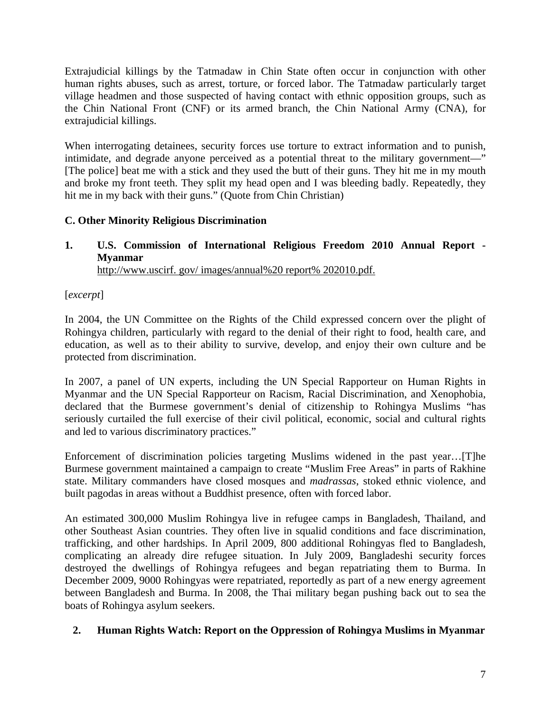Extrajudicial killings by the Tatmadaw in Chin State often occur in conjunction with other human rights abuses, such as arrest, torture, or forced labor. The Tatmadaw particularly target village headmen and those suspected of having contact with ethnic opposition groups, such as the Chin National Front (CNF) or its armed branch, the Chin National Army (CNA), for extrajudicial killings.

When interrogating detainees, security forces use torture to extract information and to punish, intimidate, and degrade anyone perceived as a potential threat to the military government—" [The police] beat me with a stick and they used the butt of their guns. They hit me in my mouth and broke my front teeth. They split my head open and I was bleeding badly. Repeatedly, they hit me in my back with their guns." (Quote from Chin Christian)

# **C. Other Minority Religious Discrimination**

**1. U.S. Commission of International Religious Freedom 2010 Annual Report - Myanmar**  http://www.uscirf. gov/ images/annual%20 report% 202010.pdf.

[*excerpt*]

In 2004, the UN Committee on the Rights of the Child expressed concern over the plight of Rohingya children, particularly with regard to the denial of their right to food, health care, and education, as well as to their ability to survive, develop, and enjoy their own culture and be protected from discrimination.

In 2007, a panel of UN experts, including the UN Special Rapporteur on Human Rights in Myanmar and the UN Special Rapporteur on Racism, Racial Discrimination, and Xenophobia, declared that the Burmese government's denial of citizenship to Rohingya Muslims "has seriously curtailed the full exercise of their civil political, economic, social and cultural rights and led to various discriminatory practices."

Enforcement of discrimination policies targeting Muslims widened in the past year…[T]he Burmese government maintained a campaign to create "Muslim Free Areas" in parts of Rakhine state. Military commanders have closed mosques and *madrassas*, stoked ethnic violence, and built pagodas in areas without a Buddhist presence, often with forced labor.

An estimated 300,000 Muslim Rohingya live in refugee camps in Bangladesh, Thailand, and other Southeast Asian countries. They often live in squalid conditions and face discrimination, trafficking, and other hardships. In April 2009, 800 additional Rohingyas fled to Bangladesh, complicating an already dire refugee situation. In July 2009, Bangladeshi security forces destroyed the dwellings of Rohingya refugees and began repatriating them to Burma. In December 2009, 9000 Rohingyas were repatriated, reportedly as part of a new energy agreement between Bangladesh and Burma. In 2008, the Thai military began pushing back out to sea the boats of Rohingya asylum seekers.

## **2. Human Rights Watch: Report on the Oppression of Rohingya Muslims in Myanmar**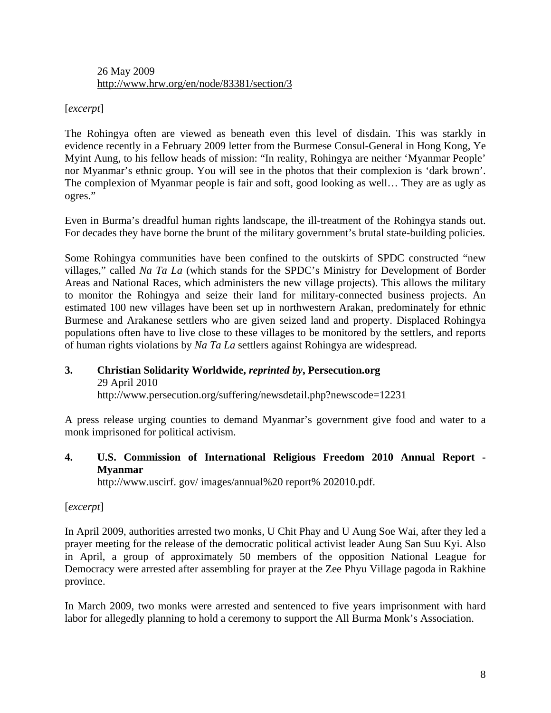#### 26 May 2009 http://www.hrw.org/en/node/83381/section/3

## [*excerpt*]

The Rohingya often are viewed as beneath even this level of disdain. This was starkly in evidence recently in a February 2009 letter from the Burmese Consul-General in Hong Kong, Ye Myint Aung, to his fellow heads of mission: "In reality, Rohingya are neither 'Myanmar People' nor Myanmar's ethnic group. You will see in the photos that their complexion is 'dark brown'. The complexion of Myanmar people is fair and soft, good looking as well… They are as ugly as ogres."

Even in Burma's dreadful human rights landscape, the ill-treatment of the Rohingya stands out. For decades they have borne the brunt of the military government's brutal state-building policies.

Some Rohingya communities have been confined to the outskirts of SPDC constructed "new villages," called *Na Ta La* (which stands for the SPDC's Ministry for Development of Border Areas and National Races, which administers the new village projects). This allows the military to monitor the Rohingya and seize their land for military-connected business projects. An estimated 100 new villages have been set up in northwestern Arakan, predominately for ethnic Burmese and Arakanese settlers who are given seized land and property. Displaced Rohingya populations often have to live close to these villages to be monitored by the settlers, and reports of human rights violations by *Na Ta La* settlers against Rohingya are widespread.

#### **3. Christian Solidarity Worldwide,** *reprinted by***, Persecution.org**  29 April 2010 http://www.persecution.org/suffering/newsdetail.php?newscode=12231

A press release urging counties to demand Myanmar's government give food and water to a monk imprisoned for political activism.

#### **4. U.S. Commission of International Religious Freedom 2010 Annual Report - Myanmar**  http://www.uscirf. gov/ images/annual%20 report% 202010.pdf.

## [*excerpt*]

In April 2009, authorities arrested two monks, U Chit Phay and U Aung Soe Wai, after they led a prayer meeting for the release of the democratic political activist leader Aung San Suu Kyi. Also in April, a group of approximately 50 members of the opposition National League for Democracy were arrested after assembling for prayer at the Zee Phyu Village pagoda in Rakhine province.

In March 2009, two monks were arrested and sentenced to five years imprisonment with hard labor for allegedly planning to hold a ceremony to support the All Burma Monk's Association.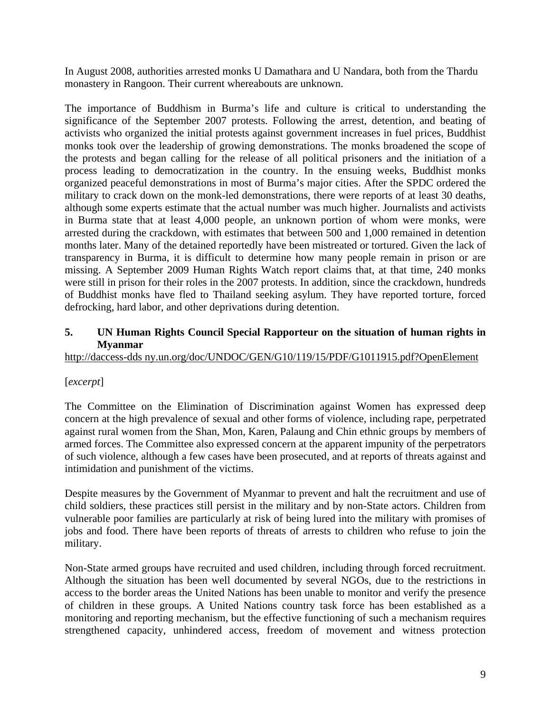In August 2008, authorities arrested monks U Damathara and U Nandara, both from the Thardu monastery in Rangoon. Their current whereabouts are unknown.

The importance of Buddhism in Burma's life and culture is critical to understanding the significance of the September 2007 protests. Following the arrest, detention, and beating of activists who organized the initial protests against government increases in fuel prices, Buddhist monks took over the leadership of growing demonstrations. The monks broadened the scope of the protests and began calling for the release of all political prisoners and the initiation of a process leading to democratization in the country. In the ensuing weeks, Buddhist monks organized peaceful demonstrations in most of Burma's major cities. After the SPDC ordered the military to crack down on the monk-led demonstrations, there were reports of at least 30 deaths, although some experts estimate that the actual number was much higher. Journalists and activists in Burma state that at least 4,000 people, an unknown portion of whom were monks, were arrested during the crackdown, with estimates that between 500 and 1,000 remained in detention months later. Many of the detained reportedly have been mistreated or tortured. Given the lack of transparency in Burma, it is difficult to determine how many people remain in prison or are missing. A September 2009 Human Rights Watch report claims that, at that time, 240 monks were still in prison for their roles in the 2007 protests. In addition, since the crackdown, hundreds of Buddhist monks have fled to Thailand seeking asylum. They have reported torture, forced defrocking, hard labor, and other deprivations during detention.

## **5. UN Human Rights Council Special Rapporteur on the situation of human rights in Myanmar**

http://daccess-dds ny.un.org/doc/UNDOC/GEN/G10/119/15/PDF/G1011915.pdf?OpenElement

## [*excerpt*]

The Committee on the Elimination of Discrimination against Women has expressed deep concern at the high prevalence of sexual and other forms of violence, including rape, perpetrated against rural women from the Shan, Mon, Karen, Palaung and Chin ethnic groups by members of armed forces. The Committee also expressed concern at the apparent impunity of the perpetrators of such violence, although a few cases have been prosecuted, and at reports of threats against and intimidation and punishment of the victims.

Despite measures by the Government of Myanmar to prevent and halt the recruitment and use of child soldiers, these practices still persist in the military and by non-State actors. Children from vulnerable poor families are particularly at risk of being lured into the military with promises of jobs and food. There have been reports of threats of arrests to children who refuse to join the military.

Non-State armed groups have recruited and used children, including through forced recruitment. Although the situation has been well documented by several NGOs, due to the restrictions in access to the border areas the United Nations has been unable to monitor and verify the presence of children in these groups. A United Nations country task force has been established as a monitoring and reporting mechanism, but the effective functioning of such a mechanism requires strengthened capacity, unhindered access, freedom of movement and witness protection